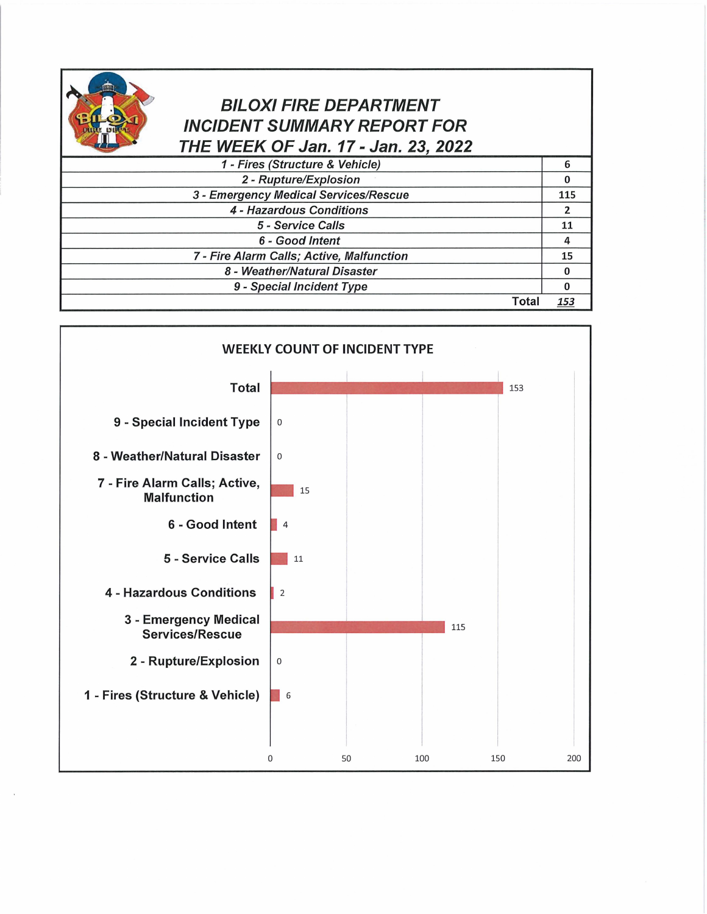

## BILOXI FIRE DEPARTMENT INCIDENT SUMMARY REPORT FOR THE WEEK OF Jan. 17- Jan. 23, 2022

| 1 - Fires (Structure & Vehicle)           | 6   |
|-------------------------------------------|-----|
| 2 - Rupture/Explosion                     | 0   |
| 3 - Emergency Medical Services/Rescue     | 115 |
| 4 - Hazardous Conditions                  | 2   |
| 5 - Service Calls                         | 11  |
| 6 - Good Intent                           |     |
| 7 - Fire Alarm Calls; Active, Malfunction | 15  |
| 8 - Weather/Natural Disaster              |     |
| 9 - Special Incident Type                 |     |
|                                           |     |

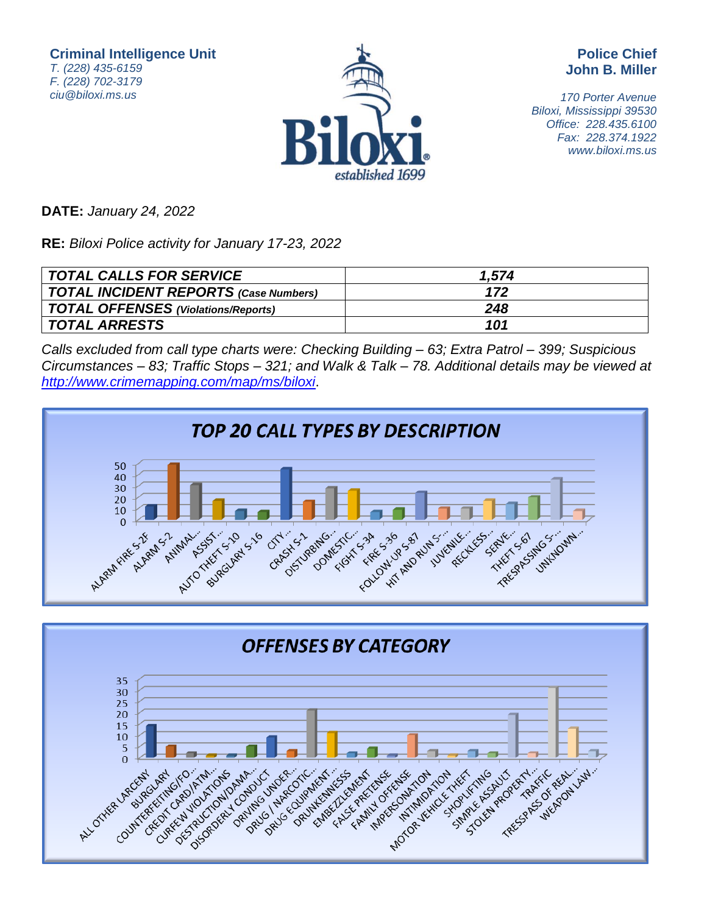**Criminal Intelligence Unit** T. (228) 435-6159 F. (228) 702-3179 ciu@biloxi.ms.us



**Police Chief John B. Miller**

170 Porter Avenue Biloxi, Mississippi 39530 Office: 228.435.6100 Fax: 228.374.1922 www.biloxi.ms.us

**DATE:** January 24, 2022

**RE:** Biloxi Police activity for January 17-23, 2022

| TOTAL CALLS FOR SERVICE               | 1.574 |
|---------------------------------------|-------|
| TOTAL INCIDENT REPORTS (Case Numbers) | 172   |
| TOTAL OFFENSES (Violations/Reports)   | 248   |
| TOTAL ARRESTS                         | 101   |

Calls excluded from call type charts were: Checking Building – 63; Extra Patrol – 399; Suspicious Circumstances – 83; Traffic Stops – 321; and Walk & Talk – 78. Additional details may be viewed at <http://www.crimemapping.com/map/ms/biloxi>.